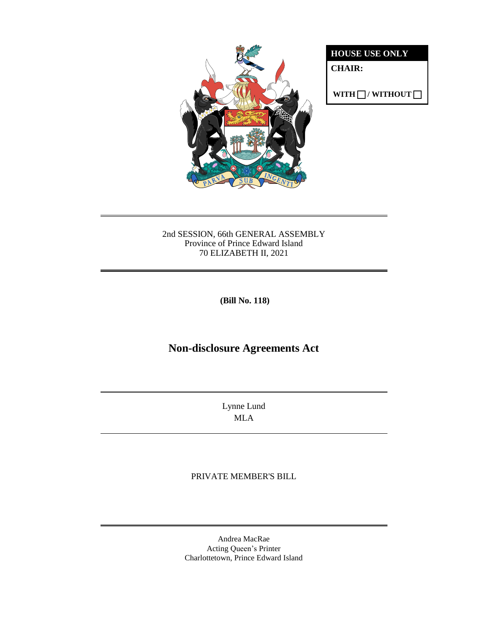

**HOUSE USE ONLY**

**CHAIR:**

**WITH**  $\Box$ **/ WITHOUT**  $\Box$ 

#### 2nd SESSION, 66th GENERAL ASSEMBLY Province of Prince Edward Island 70 ELIZABETH II, 2021

**(Bill No. 118)**

# **Non-disclosure Agreements Act**

Lynne Lund MLA

## PRIVATE MEMBER'S BILL

Andrea MacRae Acting Queen's Printer Charlottetown, Prince Edward Island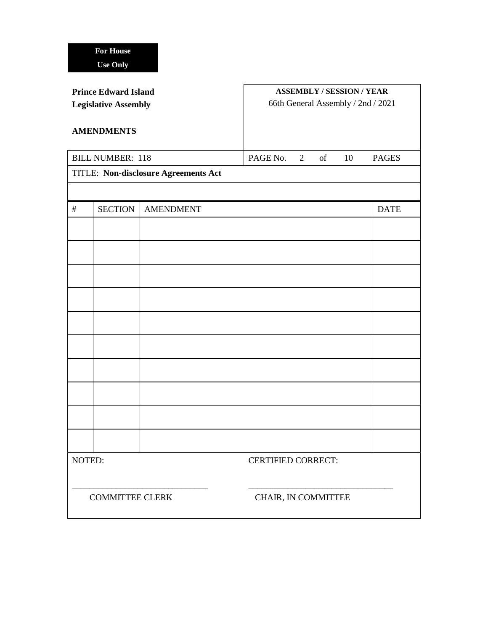| <b>Prince Edward Island</b><br><b>Legislative Assembly</b> |                |                  | <b>ASSEMBLY / SESSION / YEAR</b><br>66th General Assembly / 2nd / 2021 |              |
|------------------------------------------------------------|----------------|------------------|------------------------------------------------------------------------|--------------|
| <b>AMENDMENTS</b>                                          |                |                  |                                                                        |              |
| <b>BILL NUMBER: 118</b>                                    |                |                  | PAGE No.<br>of<br>10<br>$\overline{2}$                                 | <b>PAGES</b> |
| <b>TITLE: Non-disclosure Agreements Act</b>                |                |                  |                                                                        |              |
|                                                            |                |                  |                                                                        |              |
| $\#$                                                       | <b>SECTION</b> | <b>AMENDMENT</b> |                                                                        | <b>DATE</b>  |
|                                                            |                |                  |                                                                        |              |
|                                                            |                |                  |                                                                        |              |
|                                                            |                |                  |                                                                        |              |
|                                                            |                |                  |                                                                        |              |
|                                                            |                |                  |                                                                        |              |
|                                                            |                |                  |                                                                        |              |
|                                                            |                |                  |                                                                        |              |
|                                                            |                |                  |                                                                        |              |
|                                                            |                |                  |                                                                        |              |
|                                                            |                |                  |                                                                        |              |
| NOTED:                                                     |                |                  | <b>CERTIFIED CORRECT:</b>                                              |              |
| <b>COMMITTEE CLERK</b>                                     |                |                  | CHAIR, IN COMMITTEE                                                    |              |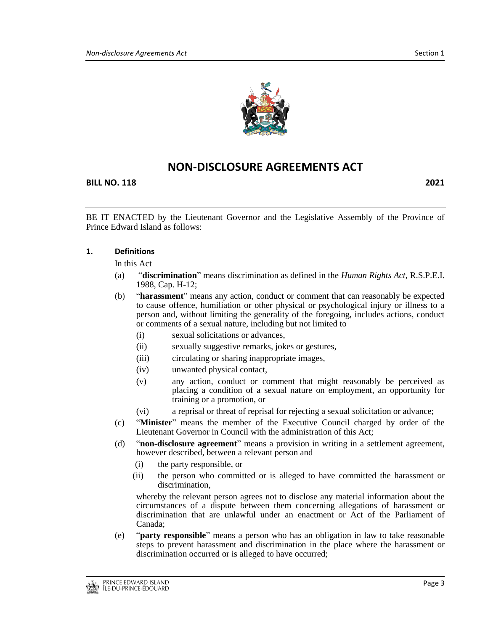

## **NON-DISCLOSURE AGREEMENTS ACT**

**BILL NO. 118 2021**

BE IT ENACTED by the Lieutenant Governor and the Legislative Assembly of the Province of Prince Edward Island as follows:

#### **1. Definitions**

In this Act

- (a) "**discrimination**" means discrimination as defined in the *Human Rights Act,* R.S.P.E.I. 1988, Cap. H-12;
- (b) "**harassment**" means any action, conduct or comment that can reasonably be expected to cause offence, humiliation or other physical or psychological injury or illness to a person and, without limiting the generality of the foregoing, includes actions, conduct or comments of a sexual nature, including but not limited to
	- (i) sexual solicitations or advances,
	- (ii) sexually suggestive remarks, jokes or gestures,
	- (iii) circulating or sharing inappropriate images,
	- (iv) unwanted physical contact,
	- (v) any action, conduct or comment that might reasonably be perceived as placing a condition of a sexual nature on employment, an opportunity for training or a promotion, or
	- (vi) a reprisal or threat of reprisal for rejecting a sexual solicitation or advance;
- (c) "**Minister**" means the member of the Executive Council charged by order of the Lieutenant Governor in Council with the administration of this Act;
- (d) "**non-disclosure agreement**" means a provision in writing in a settlement agreement, however described, between a relevant person and
	- (i) the party responsible, or
	- (ii) the person who committed or is alleged to have committed the harassment or discrimination,

whereby the relevant person agrees not to disclose any material information about the circumstances of a dispute between them concerning allegations of harassment or discrimination that are unlawful under an enactment or Act of the Parliament of Canada;

(e) "**party responsible**" means a person who has an obligation in law to take reasonable steps to prevent harassment and discrimination in the place where the harassment or discrimination occurred or is alleged to have occurred;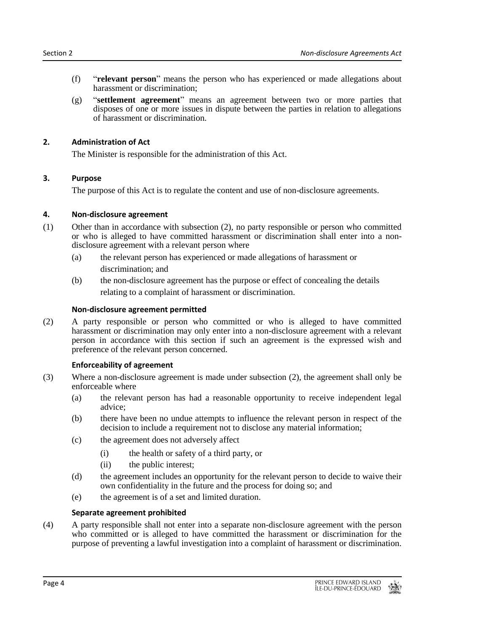- (f) "**relevant person**" means the person who has experienced or made allegations about harassment or discrimination;
- (g) "**settlement agreement**" means an agreement between two or more parties that disposes of one or more issues in dispute between the parties in relation to allegations of harassment or discrimination.

## **2. Administration of Act**

The Minister is responsible for the administration of this Act.

## **3. Purpose**

The purpose of this Act is to regulate the content and use of non-disclosure agreements.

## **4. Non-disclosure agreement**

- (1) Other than in accordance with subsection (2), no party responsible or person who committed or who is alleged to have committed harassment or discrimination shall enter into a nondisclosure agreement with a relevant person where
	- (a) the relevant person has experienced or made allegations of harassment or

discrimination; and

(b) the non-disclosure agreement has the purpose or effect of concealing the details relating to a complaint of harassment or discrimination.

## **Non-disclosure agreement permitted**

(2) A party responsible or person who committed or who is alleged to have committed harassment or discrimination may only enter into a non-disclosure agreement with a relevant person in accordance with this section if such an agreement is the expressed wish and preference of the relevant person concerned.

#### **Enforceability of agreement**

- (3) Where a non-disclosure agreement is made under subsection (2), the agreement shall only be enforceable where
	- (a) the relevant person has had a reasonable opportunity to receive independent legal advice;
	- (b) there have been no undue attempts to influence the relevant person in respect of the decision to include a requirement not to disclose any material information;
	- (c) the agreement does not adversely affect
		- (i) the health or safety of a third party, or
		- (ii) the public interest;
	- (d) the agreement includes an opportunity for the relevant person to decide to waive their own confidentiality in the future and the process for doing so; and
	- (e) the agreement is of a set and limited duration.

## **Separate agreement prohibited**

(4) A party responsible shall not enter into a separate non-disclosure agreement with the person who committed or is alleged to have committed the harassment or discrimination for the purpose of preventing a lawful investigation into a complaint of harassment or discrimination.

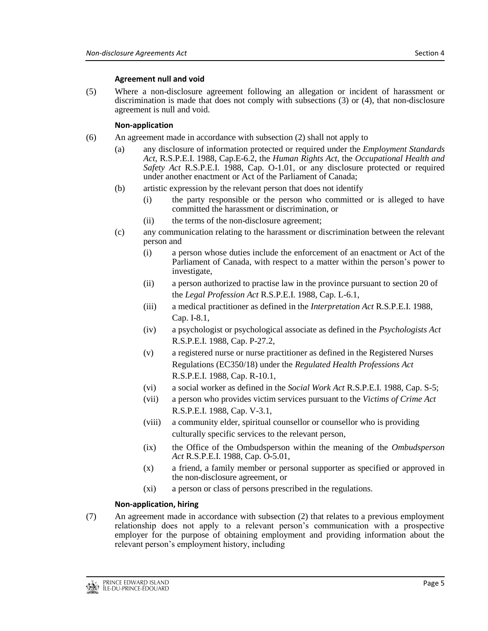### **Agreement null and void**

(5) Where a non-disclosure agreement following an allegation or incident of harassment or discrimination is made that does not comply with subsections (3) or (4), that non-disclosure agreement is null and void.

## **Non-application**

- (6) An agreement made in accordance with subsection (2) shall not apply to
	- (a) any disclosure of information protected or required under the *Employment Standards Act*, R.S.P.E.I. 1988, Cap.E-6.2, the *Human Rights Act*, the *Occupational Health and Safety Act* R.S.P.E.I. 1988, Cap. O-1.01, or any disclosure protected or required under another enactment or Act of the Parliament of Canada;
	- (b) artistic expression by the relevant person that does not identify
		- (i) the party responsible or the person who committed or is alleged to have committed the harassment or discrimination, or
		- (ii) the terms of the non-disclosure agreement;
	- (c) any communication relating to the harassment or discrimination between the relevant person and
		- (i) a person whose duties include the enforcement of an enactment or Act of the Parliament of Canada, with respect to a matter within the person's power to investigate,
		- (ii) a person authorized to practise law in the province pursuant to section 20 of the *Legal Profession Act* R.S.P.E.I. 1988, Cap. L-6.1,
		- (iii) a medical practitioner as defined in the *Interpretation Act* R.S.P.E.I. 1988, Cap. I-8.1,
		- (iv) a psychologist or psychological associate as defined in the *Psychologists Act* R.S.P.E.I. 1988, Cap. P-27.2,
		- (v) a registered nurse or nurse practitioner as defined in the Registered Nurses Regulations (EC350/18) under the *Regulated Health Professions Act* R.S.P.E.I. 1988, Cap. R-10.1,
		- (vi) a social worker as defined in the *Social Work Act* R.S.P.E.I. 1988, Cap. S-5;
		- (vii) a person who provides victim services pursuant to the *Victims of Crime Act* R.S.P.E.I. 1988, Cap. V-3.1,
		- (viii) a community elder, spiritual counsellor or counsellor who is providing culturally specific services to the relevant person,
		- (ix) the Office of the Ombudsperson within the meaning of the *Ombudsperson Act* R.S.P.E.I. 1988, Cap. O-5.01,
		- (x) a friend, a family member or personal supporter as specified or approved in the non-disclosure agreement, or
		- (xi) a person or class of persons prescribed in the regulations.

## **Non-application, hiring**

(7) An agreement made in accordance with subsection (2) that relates to a previous employment relationship does not apply to a relevant person's communication with a prospective employer for the purpose of obtaining employment and providing information about the relevant person's employment history, including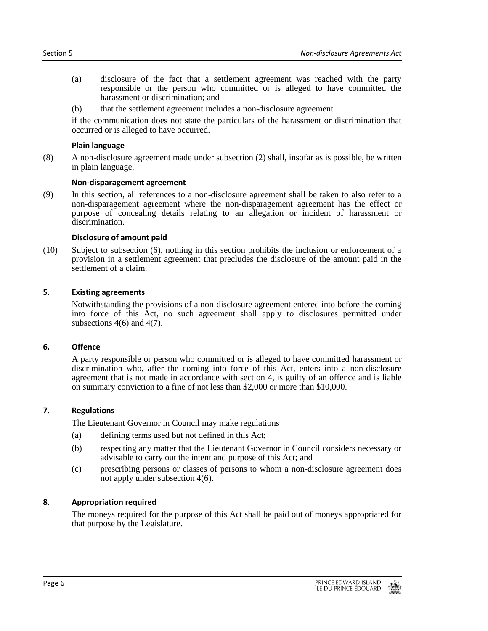- (a) disclosure of the fact that a settlement agreement was reached with the party responsible or the person who committed or is alleged to have committed the harassment or discrimination; and
- (b) that the settlement agreement includes a non-disclosure agreement

if the communication does not state the particulars of the harassment or discrimination that occurred or is alleged to have occurred.

#### **Plain language**

(8) A non-disclosure agreement made under subsection (2) shall, insofar as is possible, be written in plain language.

#### **Non-disparagement agreement**

(9) In this section, all references to a non-disclosure agreement shall be taken to also refer to a non-disparagement agreement where the non-disparagement agreement has the effect or purpose of concealing details relating to an allegation or incident of harassment or discrimination.

#### **Disclosure of amount paid**

(10) Subject to subsection (6), nothing in this section prohibits the inclusion or enforcement of a provision in a settlement agreement that precludes the disclosure of the amount paid in the settlement of a claim.

#### **5. Existing agreements**

Notwithstanding the provisions of a non-disclosure agreement entered into before the coming into force of this Act, no such agreement shall apply to disclosures permitted under subsections  $4(6)$  and  $4(7)$ .

#### **6. Offence**

A party responsible or person who committed or is alleged to have committed harassment or discrimination who, after the coming into force of this Act, enters into a non-disclosure agreement that is not made in accordance with section 4, is guilty of an offence and is liable on summary conviction to a fine of not less than \$2,000 or more than \$10,000.

#### **7. Regulations**

The Lieutenant Governor in Council may make regulations

- (a) defining terms used but not defined in this Act;
- (b) respecting any matter that the Lieutenant Governor in Council considers necessary or advisable to carry out the intent and purpose of this Act; and
- (c) prescribing persons or classes of persons to whom a non-disclosure agreement does not apply under subsection 4(6).

#### **8. Appropriation required**

The moneys required for the purpose of this Act shall be paid out of moneys appropriated for that purpose by the Legislature.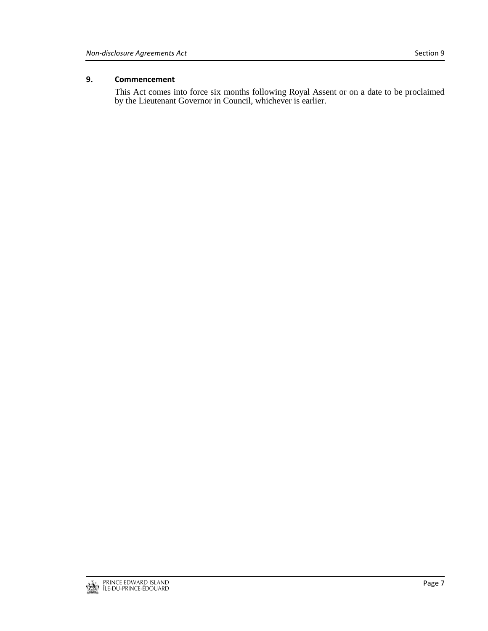## **9. Commencement**

This Act comes into force six months following Royal Assent or on a date to be proclaimed by the Lieutenant Governor in Council, whichever is earlier.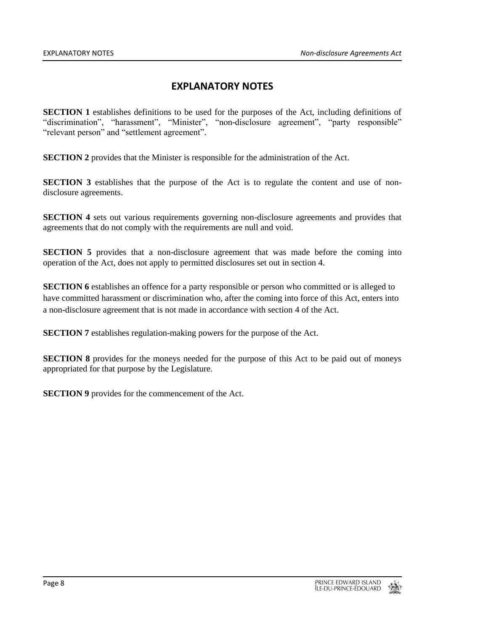## **EXPLANATORY NOTES**

**SECTION 1** establishes definitions to be used for the purposes of the Act, including definitions of "discrimination", "harassment", "Minister", "non-disclosure agreement", "party responsible" "relevant person" and "settlement agreement".

**SECTION 2** provides that the Minister is responsible for the administration of the Act.

**SECTION 3** establishes that the purpose of the Act is to regulate the content and use of nondisclosure agreements.

**SECTION 4** sets out various requirements governing non-disclosure agreements and provides that agreements that do not comply with the requirements are null and void.

**SECTION 5** provides that a non-disclosure agreement that was made before the coming into operation of the Act, does not apply to permitted disclosures set out in section 4.

**SECTION 6** establishes an offence for a party responsible or person who committed or is alleged to have committed harassment or discrimination who, after the coming into force of this Act, enters into a non-disclosure agreement that is not made in accordance with section 4 of the Act.

**SECTION 7** establishes regulation-making powers for the purpose of the Act.

**SECTION 8** provides for the moneys needed for the purpose of this Act to be paid out of moneys appropriated for that purpose by the Legislature.

**SECTION 9** provides for the commencement of the Act.